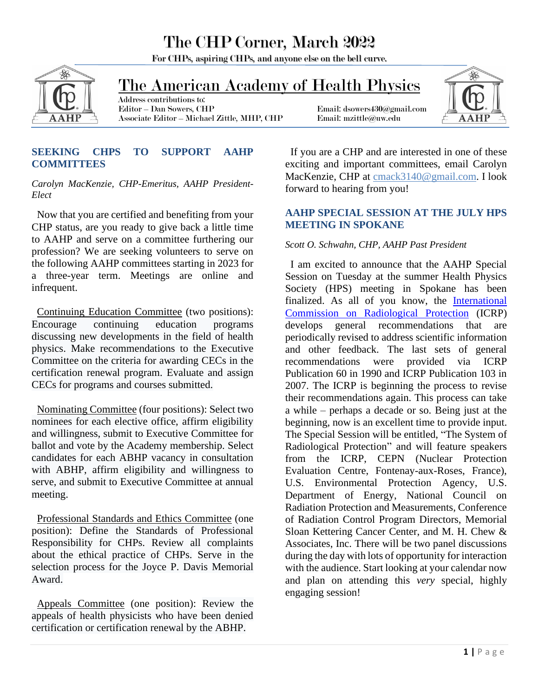## The CHP Corner, March 2022

For CHPs, aspiring CHPs, and anyone else on the bell curve.



### The American Academy of Health Physics

 Address contributions to: Associate Editor – Michael Zittle, MHP, CHP Email: mzittle@uw.edu

Email: dsowers430@gmail.com



#### **SEEKING CHPS TO SUPPORT AAHP COMMITTEES**

*Carolyn MacKenzie, CHP-Emeritus, AAHP President-Elect*

 Now that you are certified and benefiting from your CHP status, are you ready to give back a little time to AAHP and serve on a committee furthering our profession? We are seeking volunteers to serve on the following AAHP committees starting in 2023 for a three-year term. Meetings are online and infrequent.

 Continuing Education Committee (two positions): Encourage continuing education programs discussing new developments in the field of health physics. Make recommendations to the Executive Committee on the criteria for awarding CECs in the certification renewal program. Evaluate and assign CECs for programs and courses submitted.

 Nominating Committee (four positions): Select two nominees for each elective office, affirm eligibility and willingness, submit to Executive Committee for ballot and vote by the Academy membership. Select candidates for each ABHP vacancy in consultation with ABHP, affirm eligibility and willingness to serve, and submit to Executive Committee at annual meeting.

 Professional Standards and Ethics Committee (one position): Define the Standards of Professional Responsibility for CHPs. Review all complaints about the ethical practice of CHPs. Serve in the selection process for the Joyce P. Davis Memorial Award.

 Appeals Committee (one position): Review the appeals of health physicists who have been denied certification or certification renewal by the ABHP.

 If you are a CHP and are interested in one of these exciting and important committees, email Carolyn MacKenzie, CHP at [cmack3140@gmail.com.](mailto:cmack3140@gmail.com?subject=Interested%20in%20AAHP%20Committee%20membership!) I look forward to hearing from you!

#### **AAHP SPECIAL SESSION AT THE JULY HPS MEETING IN SPOKANE**

#### *Scott O. Schwahn, CHP, AAHP Past President*

 I am excited to announce that the AAHP Special Session on Tuesday at the summer Health Physics Society (HPS) meeting in Spokane has been finalized. As all of you know, the [International](https://www.icrp.org/)  [Commission on Radiological Protection](https://www.icrp.org/) (ICRP) develops general recommendations that are periodically revised to address scientific information and other feedback. The last sets of general recommendations were provided via ICRP Publication 60 in 1990 and ICRP Publication 103 in 2007. The ICRP is beginning the process to revise their recommendations again. This process can take a while – perhaps a decade or so. Being just at the beginning, now is an excellent time to provide input. The Special Session will be entitled, "The System of Radiological Protection" and will feature speakers from the ICRP, CEPN (Nuclear Protection Evaluation Centre, Fontenay-aux-Roses, France), U.S. Environmental Protection Agency, U.S. Department of Energy, National Council on Radiation Protection and Measurements, Conference of Radiation Control Program Directors, Memorial Sloan Kettering Cancer Center, and M. H. Chew & Associates, Inc. There will be two panel discussions during the day with lots of opportunity for interaction with the audience. Start looking at your calendar now and plan on attending this *very* special, highly engaging session!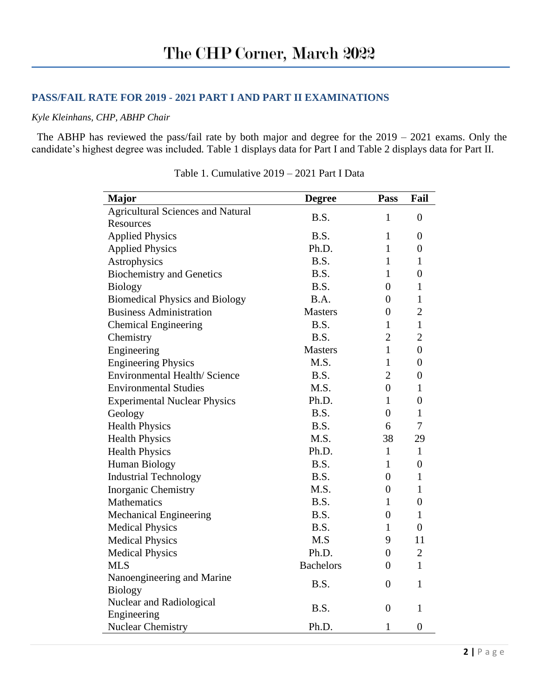#### **PASS/FAIL RATE FOR 2019 - 2021 PART I AND PART II EXAMINATIONS**

#### *Kyle Kleinhans, CHP, ABHP Chair*

 The ABHP has reviewed the pass/fail rate by both major and degree for the 2019 – 2021 exams. Only the candidate's highest degree was included*.* Table 1 displays data for Part I and Table 2 displays data for Part II.

| <b>Major</b>                             | <b>Degree</b>    | Pass           | Fail             |
|------------------------------------------|------------------|----------------|------------------|
| <b>Agricultural Sciences and Natural</b> | B.S.             | $\mathbf{1}$   | $\overline{0}$   |
| Resources                                |                  |                |                  |
| <b>Applied Physics</b>                   | B.S.             | $\mathbf{1}$   | $\overline{0}$   |
| <b>Applied Physics</b>                   | Ph.D.            | $\mathbf{1}$   | $\overline{0}$   |
| Astrophysics                             | B.S.             | $\mathbf{1}$   | $\mathbf{1}$     |
| <b>Biochemistry and Genetics</b>         | B.S.             | $\mathbf{1}$   | $\overline{0}$   |
| <b>Biology</b>                           | B.S.             | $\overline{0}$ | $\mathbf{1}$     |
| <b>Biomedical Physics and Biology</b>    | B.A.             | $\overline{0}$ | $\mathbf{1}$     |
| <b>Business Administration</b>           | <b>Masters</b>   | $\overline{0}$ | $\overline{2}$   |
| <b>Chemical Engineering</b>              | B.S.             | $\mathbf{1}$   | $\mathbf{1}$     |
| Chemistry                                | B.S.             | $\overline{2}$ | $\overline{2}$   |
| Engineering                              | <b>Masters</b>   | $\mathbf{1}$   | $\overline{0}$   |
| <b>Engineering Physics</b>               | M.S.             | 1              | $\boldsymbol{0}$ |
| <b>Environmental Health/Science</b>      | B.S.             | $\overline{2}$ | $\overline{0}$   |
| <b>Environmental Studies</b>             | M.S.             | $\overline{0}$ | $\mathbf{1}$     |
| <b>Experimental Nuclear Physics</b>      | Ph.D.            | $\mathbf{1}$   | $\overline{0}$   |
| Geology                                  | B.S.             | $\overline{0}$ | $\mathbf{1}$     |
| <b>Health Physics</b>                    | B.S.             | 6              | 7                |
| <b>Health Physics</b>                    | M.S.             | 38             | 29               |
| <b>Health Physics</b>                    | Ph.D.            | $\mathbf{1}$   | $\mathbf{1}$     |
| Human Biology                            | B.S.             | $\mathbf{1}$   | $\overline{0}$   |
| <b>Industrial Technology</b>             | B.S.             | $\overline{0}$ | $\mathbf{1}$     |
| <b>Inorganic Chemistry</b>               | M.S.             | $\overline{0}$ | $\mathbf{1}$     |
| Mathematics                              | B.S.             | $\mathbf{1}$   | $\overline{0}$   |
| <b>Mechanical Engineering</b>            | B.S.             | $\overline{0}$ | $\mathbf{1}$     |
| <b>Medical Physics</b>                   | B.S.             | 1              | $\overline{0}$   |
| <b>Medical Physics</b>                   | M.S              | 9              | 11               |
| <b>Medical Physics</b>                   | Ph.D.            | $\overline{0}$ | $\overline{2}$   |
| <b>MLS</b>                               | <b>Bachelors</b> | $\overline{0}$ | $\mathbf{1}$     |
| Nanoengineering and Marine               | B.S.             | $\overline{0}$ | $\mathbf{1}$     |
| <b>Biology</b>                           |                  |                |                  |
| Nuclear and Radiological                 | B.S.             | $\overline{0}$ | $\mathbf{1}$     |
| Engineering                              |                  |                |                  |
| <b>Nuclear Chemistry</b>                 | Ph.D.            | $\mathbf{1}$   | $\overline{0}$   |

Table 1. Cumulative 2019 – 2021 Part I Data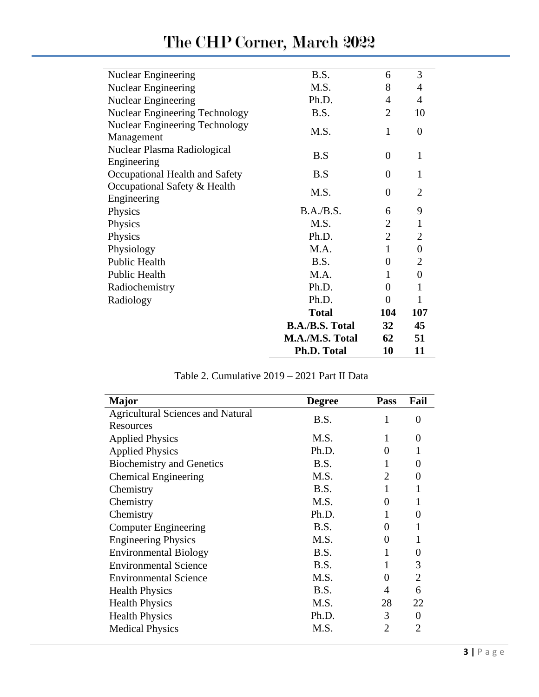| <b>Nuclear Engineering</b>            | B.S.                   | 6                           | 3                |
|---------------------------------------|------------------------|-----------------------------|------------------|
| <b>Nuclear Engineering</b>            | M.S.                   | 8                           | 4                |
| <b>Nuclear Engineering</b>            | Ph.D.                  | 4                           | 4                |
| <b>Nuclear Engineering Technology</b> | B.S.                   | $\mathcal{D}_{\mathcal{L}}$ | 10               |
| <b>Nuclear Engineering Technology</b> |                        |                             |                  |
| Management                            | M.S.                   | $\mathbf{1}$                | $\overline{0}$   |
| Nuclear Plasma Radiological           |                        |                             |                  |
| Engineering                           | B.S                    | $\theta$                    | $\mathbf{1}$     |
|                                       | B.S                    | 0                           | 1                |
| Occupational Health and Safety        |                        |                             |                  |
| Occupational Safety & Health          | M.S.                   | 0                           | $\overline{2}$   |
| Engineering                           |                        |                             |                  |
| Physics                               | B.A./B.S.              | 6                           | 9                |
| Physics                               | M.S.                   | $\overline{2}$              | $\mathbf{1}$     |
| Physics                               | Ph.D.                  | $\overline{2}$              | $\overline{2}$   |
| Physiology                            | MA.                    | $\mathbf{1}$                | $\overline{0}$   |
| Public Health                         | B.S.                   | $\overline{0}$              | $\overline{2}$   |
| Public Health                         | M.A.                   | 1                           | $\boldsymbol{0}$ |
| Radiochemistry                        | Ph.D.                  | 0                           | 1                |
| Radiology                             | Ph.D.                  | 0                           | 1                |
|                                       | <b>Total</b>           | 104                         | 107              |
|                                       | <b>B.A./B.S. Total</b> | 32                          | 45               |
|                                       | M.A./M.S. Total        | 62                          | 51               |
|                                       | <b>Ph.D. Total</b>     | 10                          | 11               |

# The CHP Corner, March 2022

|  |  |  |  | Table 2. Cumulative 2019 – 2021 Part II Data |
|--|--|--|--|----------------------------------------------|
|--|--|--|--|----------------------------------------------|

| <b>Major</b>                             | <b>Degree</b> | <b>Pass</b> | Fail           |
|------------------------------------------|---------------|-------------|----------------|
| <b>Agricultural Sciences and Natural</b> | B.S.          | 1           | 0              |
| Resources                                |               |             |                |
| <b>Applied Physics</b>                   | M.S.          |             | 0              |
| <b>Applied Physics</b>                   | Ph.D.         | Ω           |                |
| <b>Biochemistry and Genetics</b>         | B.S.          |             | 0              |
| <b>Chemical Engineering</b>              | M.S.          | 2           | 0              |
| Chemistry                                | B.S.          |             |                |
| Chemistry                                | M.S.          |             |                |
| Chemistry                                | Ph.D.         |             | 0              |
| <b>Computer Engineering</b>              | B.S.          |             |                |
| <b>Engineering Physics</b>               | M.S.          |             |                |
| <b>Environmental Biology</b>             | B.S.          |             | 0              |
| <b>Environmental Science</b>             | B.S.          |             | 3              |
| <b>Environmental Science</b>             | M.S.          |             | $\overline{2}$ |
| <b>Health Physics</b>                    | B.S.          | 4           | 6              |
| <b>Health Physics</b>                    | M.S.          | 28          | 22             |
| <b>Health Physics</b>                    | Ph.D.         | 3           | 0              |
| <b>Medical Physics</b>                   | M.S.          | 2           | 2              |
|                                          |               |             |                |